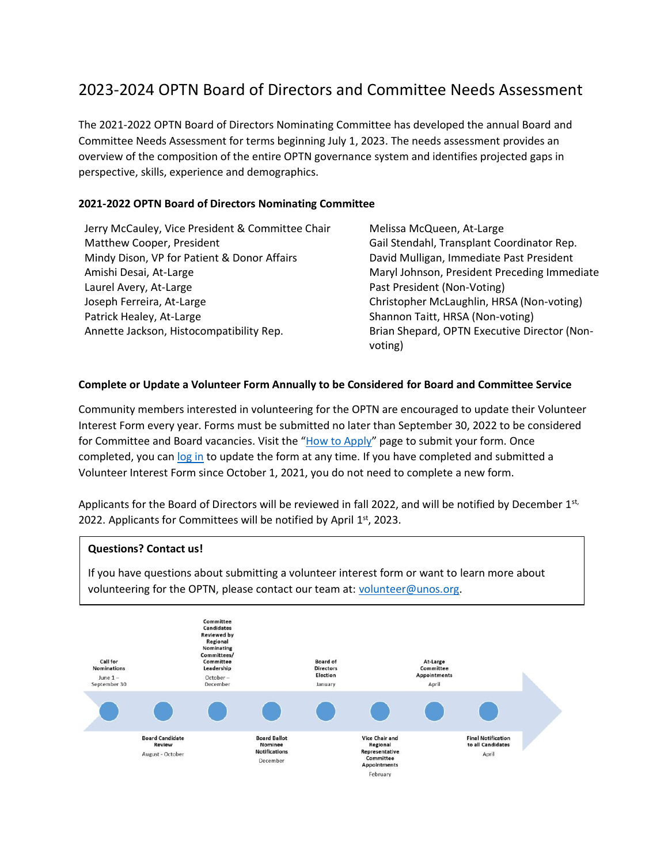# 2023-2024 OPTN Board of Directors and Committee Needs Assessment

The 2021-2022 OPTN Board of Directors Nominating Committee has developed the annual Board and Committee Needs Assessment for terms beginning July 1, 2023. The needs assessment provides an overview of the composition of the entire OPTN governance system and identifies projected gaps in perspective, skills, experience and demographics.

## **2021-2022 OPTN Board of Directors Nominating Committee**

Jerry McCauley, Vice President & Committee Chair Melissa McQueen, At-Large Matthew Cooper, President Gail Stendahl, Transplant Coordinator Rep. Mindy Dison, VP for Patient & Donor Affairs **David Mulligan, Immediate Past President** Amishi Desai, At-Large Laurel Avery, At-Large Joseph Ferreira, At-Large Christopher McLaughlin, HRSA (Non-voting) Patrick Healey, At-Large Shannon Taitt, HRSA (Non-voting) Annette Jackson, Histocompatibility Rep. **Brian Shepard, OPTN Executive Director (Non-**

Maryl Johnson, President Preceding Immediate Past President (Non-Voting) voting)

### **Complete or Update a Volunteer Form Annually to be Considered for Board and Committee Service**

Community members interested in volunteering for the OPTN are encouraged to update their Volunteer Interest Form every year. Forms must be submitted no later than September 30, 2022 to be considered for Committee and Board vacancies. Visit the "[How to Apply](https://optn.transplant.hrsa.gov/members/get-involved/how-to-volunteer-apply/)" page to submit your form. Once completed, you ca[n log in](https://empir.force.com/UNOSPortal/s/login/?ec=302&startURL=%2FUNOSPortal%2Fs%2F) to update the form at any time. If you have completed and submitted a Volunteer Interest Form since October 1, 2021, you do not need to complete a new form.

Applicants for the Board of Directors will be reviewed in fall 2022, and will be notified by December 1st, 2022. Applicants for Committees will be notified by April  $1<sup>st</sup>$ , 2023.

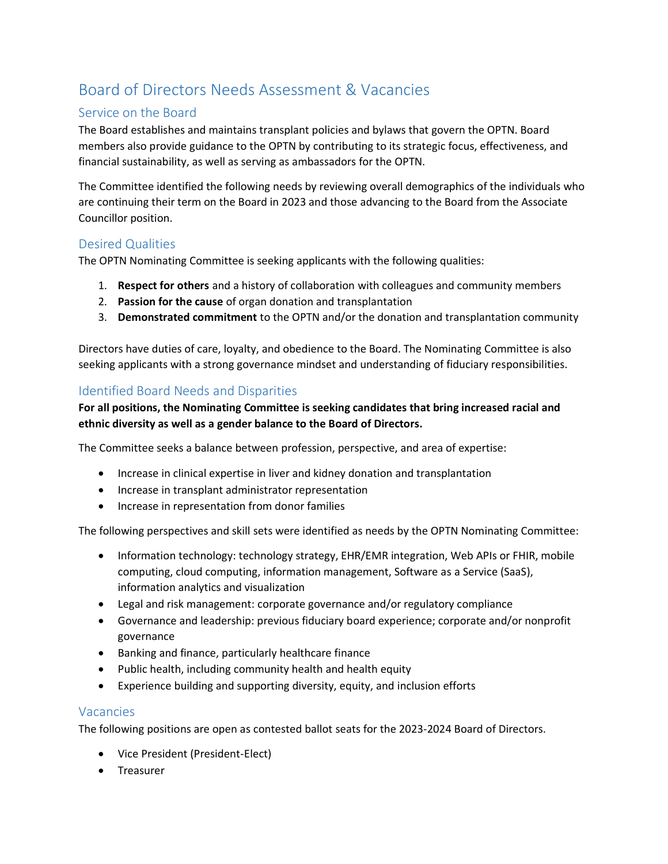# Board of Directors Needs Assessment & Vacancies

# Service on the Board

The Board establishes and maintains transplant policies and bylaws that govern the OPTN. Board members also provide guidance to the OPTN by contributing to its strategic focus, effectiveness, and financial sustainability, as well as serving as ambassadors for the OPTN.

The Committee identified the following needs by reviewing overall demographics of the individuals who are continuing their term on the Board in 2023 and those advancing to the Board from the Associate Councillor position.

# Desired Qualities

The OPTN Nominating Committee is seeking applicants with the following qualities:

- 1. **Respect for others** and a history of collaboration with colleagues and community members
- 2. **Passion for the cause** of organ donation and transplantation
- 3. **Demonstrated commitment** to the OPTN and/or the donation and transplantation community

Directors have duties of care, loyalty, and obedience to the Board. The Nominating Committee is also seeking applicants with a strong governance mindset and understanding of fiduciary responsibilities.

# Identified Board Needs and Disparities

**For all positions, the Nominating Committee is seeking candidates that bring increased racial and ethnic diversity as well as a gender balance to the Board of Directors.**

The Committee seeks a balance between profession, perspective, and area of expertise:

- Increase in clinical expertise in liver and kidney donation and transplantation
- Increase in transplant administrator representation
- Increase in representation from donor families

The following perspectives and skill sets were identified as needs by the OPTN Nominating Committee:

- Information technology: technology strategy, EHR/EMR integration, Web APIs or FHIR, mobile computing, cloud computing, information management, Software as a Service (SaaS), information analytics and visualization
- Legal and risk management: corporate governance and/or regulatory compliance
- Governance and leadership: previous fiduciary board experience; corporate and/or nonprofit governance
- Banking and finance, particularly healthcare finance
- Public health, including community health and health equity
- Experience building and supporting diversity, equity, and inclusion efforts

## Vacancies

The following positions are open as contested ballot seats for the 2023-2024 Board of Directors.

- Vice President (President-Elect)
- Treasurer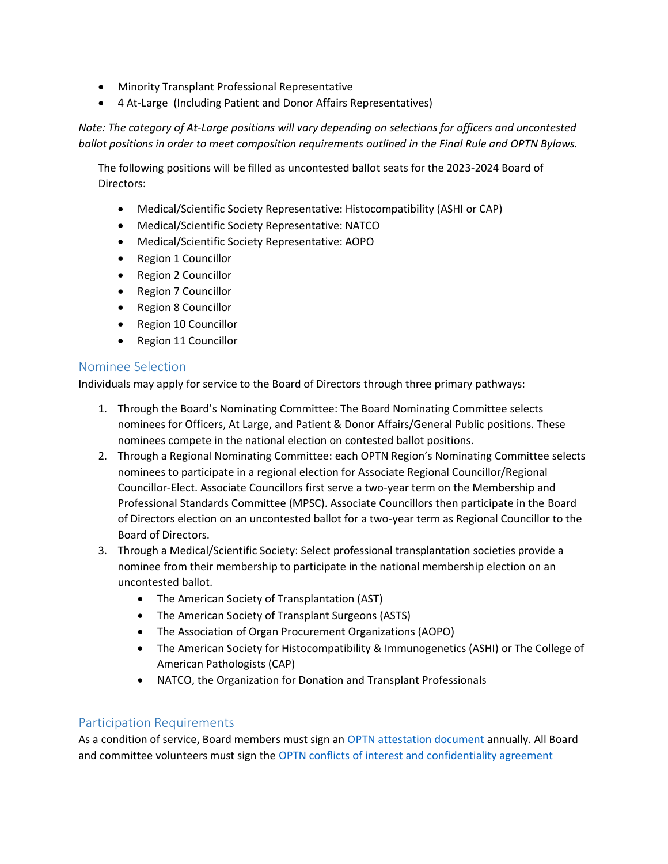- Minority Transplant Professional Representative
- 4 At-Large (Including Patient and Donor Affairs Representatives)

*Note: The category of At-Large positions will vary depending on selections for officers and uncontested ballot positions in order to meet composition requirements outlined in the Final Rule and OPTN Bylaws.*

The following positions will be filled as uncontested ballot seats for the 2023-2024 Board of Directors:

- Medical/Scientific Society Representative: Histocompatibility (ASHI or CAP)
- Medical/Scientific Society Representative: NATCO
- Medical/Scientific Society Representative: AOPO
- Region 1 Councillor
- Region 2 Councillor
- Region 7 Councillor
- Region 8 Councillor
- Region 10 Councillor
- Region 11 Councillor

## Nominee Selection

Individuals may apply for service to the Board of Directors through three primary pathways:

- 1. Through the Board's Nominating Committee: The Board Nominating Committee selects nominees for Officers, At Large, and Patient & Donor Affairs/General Public positions. These nominees compete in the national election on contested ballot positions.
- 2. Through a Regional Nominating Committee: each OPTN Region's Nominating Committee selects nominees to participate in a regional election for Associate Regional Councillor/Regional Councillor-Elect. Associate Councillors first serve a two-year term on the Membership and Professional Standards Committee (MPSC). Associate Councillors then participate in the Board of Directors election on an uncontested ballot for a two-year term as Regional Councillor to the Board of Directors.
- 3. Through a Medical/Scientific Society: Select professional transplantation societies provide a nominee from their membership to participate in the national membership election on an uncontested ballot.
	- The American Society of Transplantation (AST)
	- The American Society of Transplant Surgeons (ASTS)
	- The Association of Organ Procurement Organizations (AOPO)
	- The American Society for Histocompatibility & Immunogenetics (ASHI) or The College of American Pathologists (CAP)
	- NATCO, the Organization for Donation and Transplant Professionals

# Participation Requirements

As a condition of service, Board members must sign an [OPTN attestation document](https://rcunos.unos.org/surveys/?s=KJR9M38JCK) annually. All Board and committee volunteers must sign the [OPTN conflicts of interest and confidentiality agreement](https://rcunos.unos.org/surveys/?s=K7T8CW3KN4)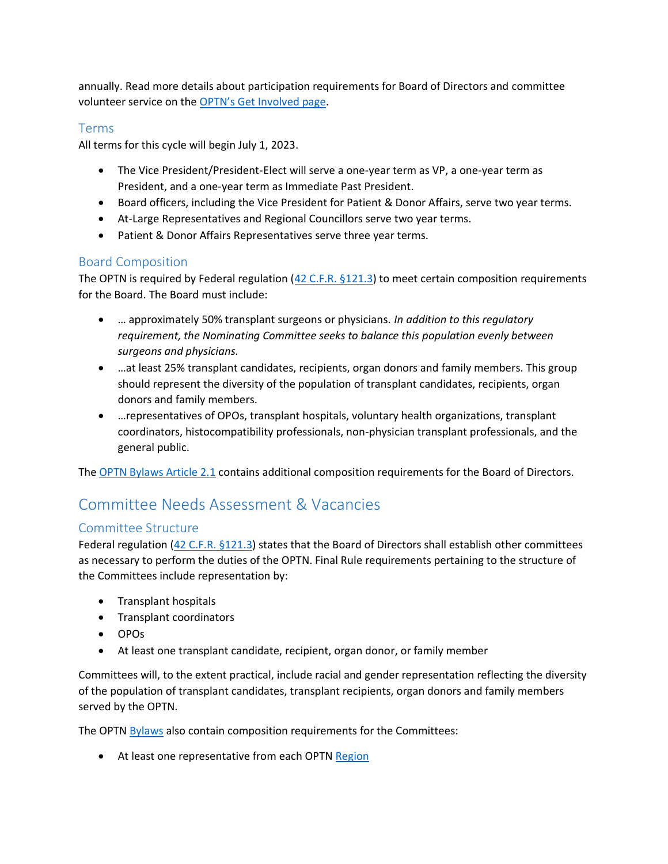annually. Read more details about participation requirements for Board of Directors and committee volunteer service on the [OPTN's Get Involv](https://optn.transplant.hrsa.gov/members/get-involved/)ed page.

## Terms

All terms for this cycle will begin July 1, 2023.

- The Vice President/President-Elect will serve a one-year term as VP, a one-year term as President, and a one-year term as Immediate Past President.
- Board officers, including the Vice President for Patient & Donor Affairs, serve two year terms.
- At-Large Representatives and Regional Councillors serve two year terms.
- Patient & Donor Affairs Representatives serve three year terms.

# Board Composition

The OPTN is required by Federal regulation [\(42 C.F.R. §121.3\)](https://www.ecfr.gov/cgi-bin/text-idx?SID=bb60e0a7222f4086a88c31211cac77d1&mc=true&node=pt42.1.121&rgn=div5#se42.1.121_13) to meet certain composition requirements for the Board. The Board must include:

- … approximately 50% transplant surgeons or physicians. *In addition to this regulatory requirement, the Nominating Committee seeks to balance this population evenly between surgeons and physicians.*
- …at least 25% transplant candidates, recipients, organ donors and family members. This group should represent the diversity of the population of transplant candidates, recipients, organ donors and family members.
- …representatives of OPOs, transplant hospitals, voluntary health organizations, transplant coordinators, histocompatibility professionals, non-physician transplant professionals, and the general public.

The [OPTN Bylaws Article 2.1](https://optn.transplant.hrsa.gov/media/lgbbmahi/optn_bylaws.pdf) contains additional composition requirements for the Board of Directors.

# Committee Needs Assessment & Vacancies

# Committee Structure

Federal regulation [\(42 C.F.R. §121.3\)](https://www.ecfr.gov/cgi-bin/text-idx?SID=bb60e0a7222f4086a88c31211cac77d1&mc=true&node=pt42.1.121&rgn=div5#se42.1.121_13) states that the Board of Directors shall establish other committees as necessary to perform the duties of the OPTN. Final Rule requirements pertaining to the structure of the Committees include representation by:

- Transplant hospitals
- Transplant coordinators
- OPOs
- At least one transplant candidate, recipient, organ donor, or family member

Committees will, to the extent practical, include racial and gender representation reflecting the diversity of the population of transplant candidates, transplant recipients, organ donors and family members served by the OPTN.

The OPTN [Bylaws](https://optn.transplant.hrsa.gov/media/1201/optn_bylaws.pdf) also contain composition requirements for the Committees:

• At least one representative from each OPT[N Region](https://optn.transplant.hrsa.gov/members/regions/)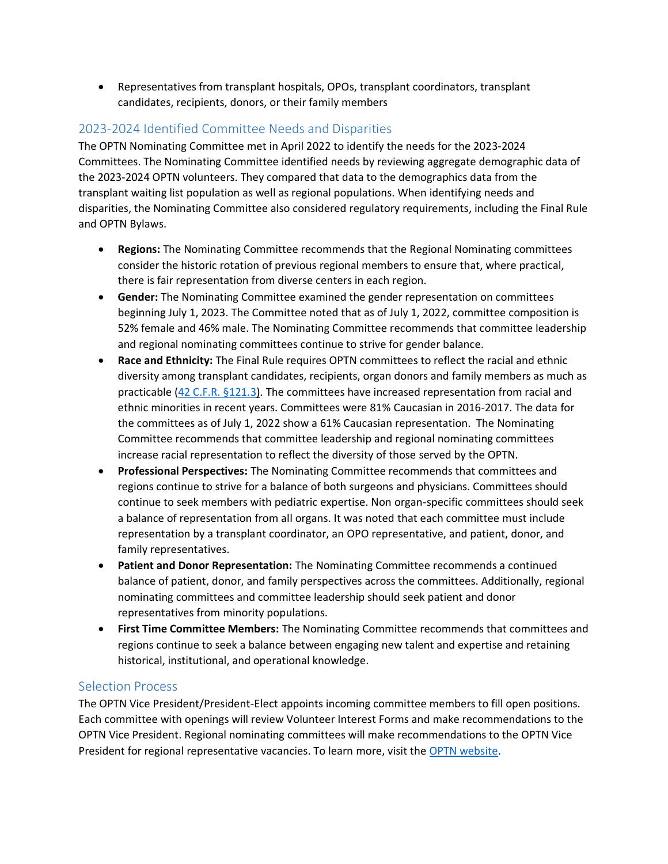• Representatives from transplant hospitals, OPOs, transplant coordinators, transplant candidates, recipients, donors, or their family members

# 2023-2024 Identified Committee Needs and Disparities

The OPTN Nominating Committee met in April 2022 to identify the needs for the 2023-2024 Committees. The Nominating Committee identified needs by reviewing aggregate demographic data of the 2023-2024 OPTN volunteers. They compared that data to the demographics data from the transplant waiting list population as well as regional populations. When identifying needs and disparities, the Nominating Committee also considered regulatory requirements, including the Final Rule and OPTN Bylaws.

- **Regions:** The Nominating Committee recommends that the Regional Nominating committees consider the historic rotation of previous regional members to ensure that, where practical, there is fair representation from diverse centers in each region.
- **Gender:** The Nominating Committee examined the gender representation on committees beginning July 1, 2023. The Committee noted that as of July 1, 2022, committee composition is 52% female and 46% male. The Nominating Committee recommends that committee leadership and regional nominating committees continue to strive for gender balance.
- **Race and Ethnicity:** The Final Rule requires OPTN committees to reflect the racial and ethnic diversity among transplant candidates, recipients, organ donors and family members as much as practicable [\(42 C.F.R. §121.3\)](https://www.ecfr.gov/cgi-bin/text-idx?SID=bb60e0a7222f4086a88c31211cac77d1&mc=true&node=pt42.1.121&rgn=div5#se42.1.121_13). The committees have increased representation from racial and ethnic minorities in recent years. Committees were 81% Caucasian in 2016-2017. The data for the committees as of July 1, 2022 show a 61% Caucasian representation. The Nominating Committee recommends that committee leadership and regional nominating committees increase racial representation to reflect the diversity of those served by the OPTN.
- **Professional Perspectives:** The Nominating Committee recommends that committees and regions continue to strive for a balance of both surgeons and physicians. Committees should continue to seek members with pediatric expertise. Non organ-specific committees should seek a balance of representation from all organs. It was noted that each committee must include representation by a transplant coordinator, an OPO representative, and patient, donor, and family representatives.
- **Patient and Donor Representation:** The Nominating Committee recommends a continued balance of patient, donor, and family perspectives across the committees. Additionally, regional nominating committees and committee leadership should seek patient and donor representatives from minority populations.
- **First Time Committee Members:** The Nominating Committee recommends that committees and regions continue to seek a balance between engaging new talent and expertise and retaining historical, institutional, and operational knowledge.

# Selection Process

The OPTN Vice President/President-Elect appoints incoming committee members to fill open positions. Each committee with openings will review Volunteer Interest Forms and make recommendations to the OPTN Vice President. Regional nominating committees will make recommendations to the OPTN Vice President for regional representative vacancies. To learn more, visit the [OPTN website.](https://optn.transplant.hrsa.gov/members/get-involved/how-to-volunteer-appointment/)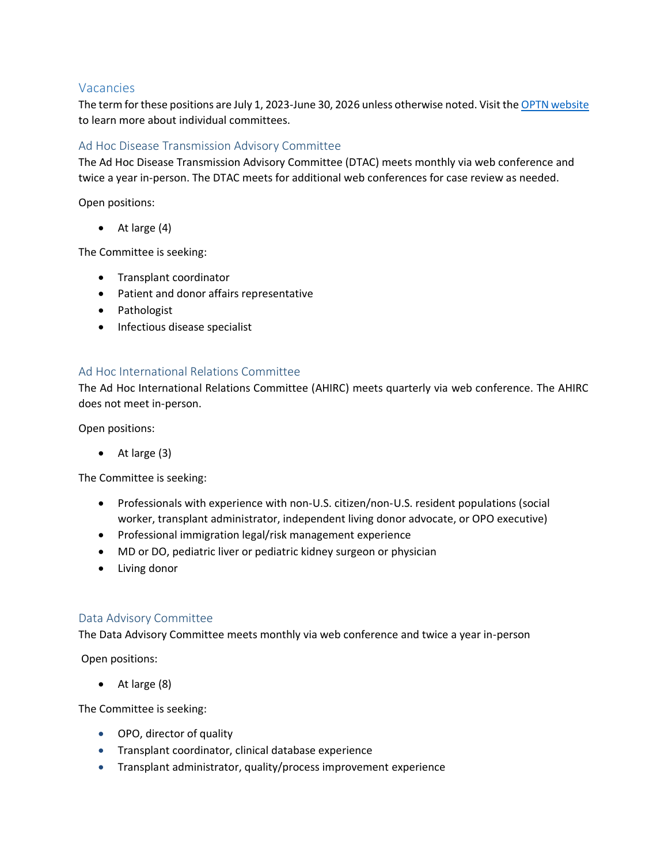# Vacancies

The term for these positions are July 1, 2023-June 30, 2026 unless otherwise noted. Visit th[e OPTN website](https://optn.transplant.hrsa.gov/members/committees/) to learn more about individual committees.

### Ad Hoc Disease Transmission Advisory Committee

The Ad Hoc Disease Transmission Advisory Committee (DTAC) meets monthly via web conference and twice a year in-person. The DTAC meets for additional web conferences for case review as needed.

Open positions:

• At large (4)

The Committee is seeking:

- Transplant coordinator
- Patient and donor affairs representative
- Pathologist
- Infectious disease specialist

### Ad Hoc International Relations Committee

The Ad Hoc International Relations Committee (AHIRC) meets quarterly via web conference. The AHIRC does not meet in-person.

Open positions:

• At large (3)

The Committee is seeking:

- Professionals with experience with non-U.S. citizen/non-U.S. resident populations (social worker, transplant administrator, independent living donor advocate, or OPO executive)
- Professional immigration legal/risk management experience
- MD or DO, pediatric liver or pediatric kidney surgeon or physician
- Living donor

#### Data Advisory Committee

The Data Advisory Committee meets monthly via web conference and twice a year in-person

Open positions:

• At large (8)

- OPO, director of quality
- Transplant coordinator, clinical database experience
- Transplant administrator, quality/process improvement experience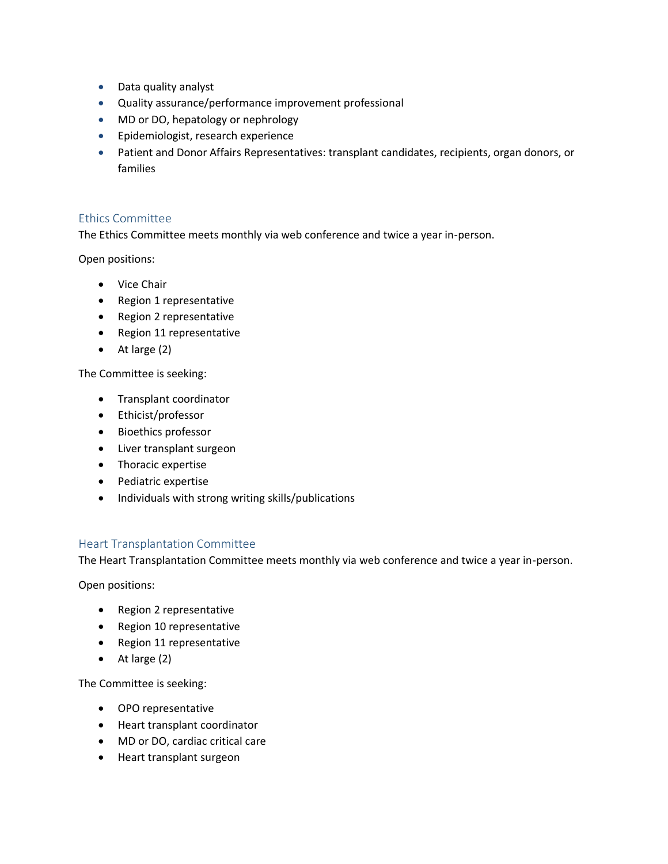- Data quality analyst
- Quality assurance/performance improvement professional
- MD or DO, hepatology or nephrology
- Epidemiologist, research experience
- Patient and Donor Affairs Representatives: transplant candidates, recipients, organ donors, or families

## Ethics Committee

The Ethics Committee meets monthly via web conference and twice a year in-person.

Open positions:

- Vice Chair
- Region 1 representative
- Region 2 representative
- Region 11 representative
- At large (2)

The Committee is seeking:

- Transplant coordinator
- Ethicist/professor
- Bioethics professor
- Liver transplant surgeon
- Thoracic expertise
- Pediatric expertise
- Individuals with strong writing skills/publications

#### Heart Transplantation Committee

The Heart Transplantation Committee meets monthly via web conference and twice a year in-person.

Open positions:

- Region 2 representative
- Region 10 representative
- Region 11 representative
- At large (2)

- OPO representative
- Heart transplant coordinator
- MD or DO, cardiac critical care
- Heart transplant surgeon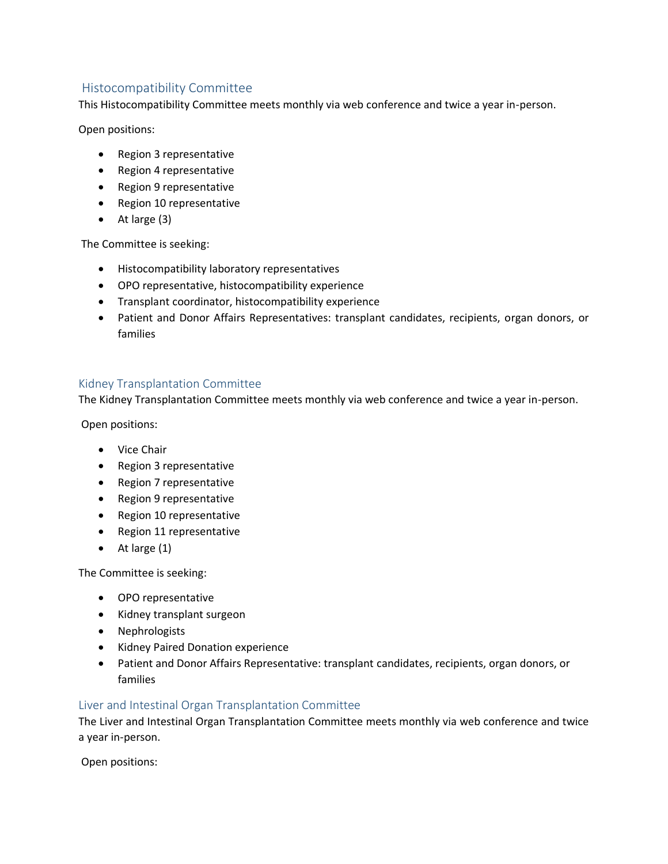# Histocompatibility Committee

This Histocompatibility Committee meets monthly via web conference and twice a year in-person.

Open positions:

- Region 3 representative
- Region 4 representative
- Region 9 representative
- Region 10 representative
- At large (3)

The Committee is seeking:

- Histocompatibility laboratory representatives
- OPO representative, histocompatibility experience
- Transplant coordinator, histocompatibility experience
- Patient and Donor Affairs Representatives: transplant candidates, recipients, organ donors, or families

## Kidney Transplantation Committee

The Kidney Transplantation Committee meets monthly via web conference and twice a year in-person.

Open positions:

- Vice Chair
- Region 3 representative
- Region 7 representative
- Region 9 representative
- Region 10 representative
- Region 11 representative
- At large (1)

The Committee is seeking:

- OPO representative
- Kidney transplant surgeon
- Nephrologists
- Kidney Paired Donation experience
- Patient and Donor Affairs Representative: transplant candidates, recipients, organ donors, or families

## Liver and Intestinal Organ Transplantation Committee

The Liver and Intestinal Organ Transplantation Committee meets monthly via web conference and twice a year in-person.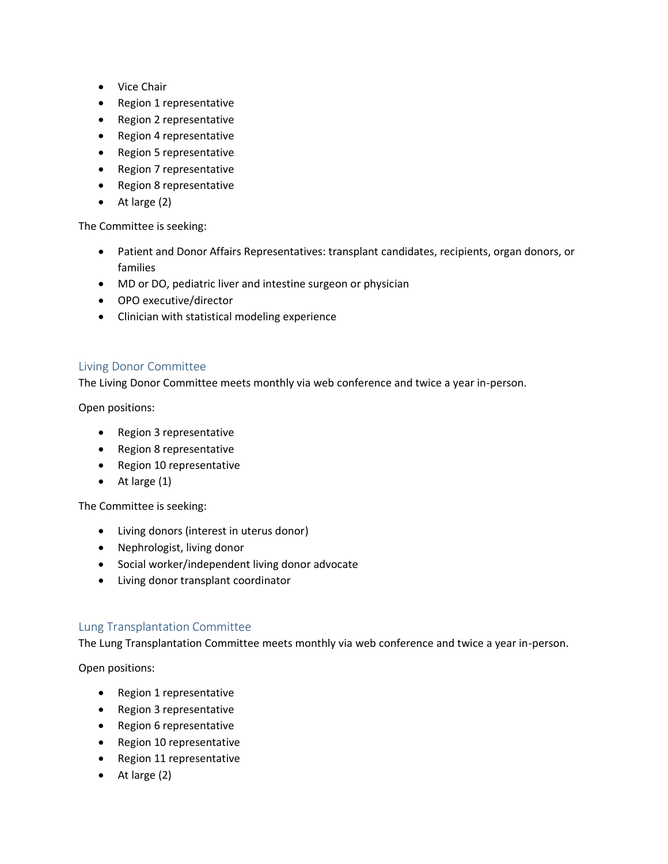- Vice Chair
- Region 1 representative
- Region 2 representative
- Region 4 representative
- Region 5 representative
- Region 7 representative
- Region 8 representative
- At large (2)

- Patient and Donor Affairs Representatives: transplant candidates, recipients, organ donors, or families
- MD or DO, pediatric liver and intestine surgeon or physician
- OPO executive/director
- Clinician with statistical modeling experience

#### Living Donor Committee

The Living Donor Committee meets monthly via web conference and twice a year in-person.

Open positions:

- Region 3 representative
- Region 8 representative
- Region 10 representative
- At large (1)

The Committee is seeking:

- Living donors (interest in uterus donor)
- Nephrologist, living donor
- Social worker/independent living donor advocate
- Living donor transplant coordinator

#### Lung Transplantation Committee

The Lung Transplantation Committee meets monthly via web conference and twice a year in-person.

- Region 1 representative
- Region 3 representative
- Region 6 representative
- Region 10 representative
- Region 11 representative
- At large (2)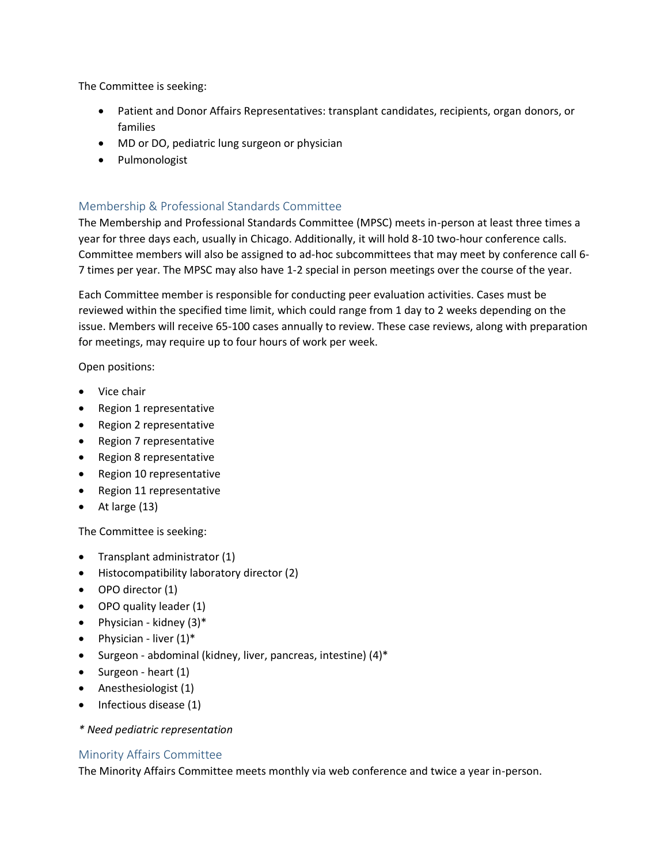- Patient and Donor Affairs Representatives: transplant candidates, recipients, organ donors, or families
- MD or DO, pediatric lung surgeon or physician
- Pulmonologist

## Membership & Professional Standards Committee

The Membership and Professional Standards Committee (MPSC) meets in-person at least three times a year for three days each, usually in Chicago. Additionally, it will hold 8-10 two-hour conference calls. Committee members will also be assigned to ad-hoc subcommittees that may meet by conference call 6- 7 times per year. The MPSC may also have 1-2 special in person meetings over the course of the year.

Each Committee member is responsible for conducting peer evaluation activities. Cases must be reviewed within the specified time limit, which could range from 1 day to 2 weeks depending on the issue. Members will receive 65-100 cases annually to review. These case reviews, along with preparation for meetings, may require up to four hours of work per week.

Open positions:

- Vice chair
- Region 1 representative
- Region 2 representative
- Region 7 representative
- Region 8 representative
- Region 10 representative
- Region 11 representative
- At large  $(13)$

The Committee is seeking:

- Transplant administrator (1)
- Histocompatibility laboratory director (2)
- OPO director (1)
- OPO quality leader (1)
- Physician kidney (3)\*
- Physician liver  $(1)^*$
- Surgeon abdominal (kidney, liver, pancreas, intestine) (4)\*
- Surgeon heart (1)
- Anesthesiologist (1)
- Infectious disease (1)

*\* Need pediatric representation*

#### Minority Affairs Committee

The Minority Affairs Committee meets monthly via web conference and twice a year in-person.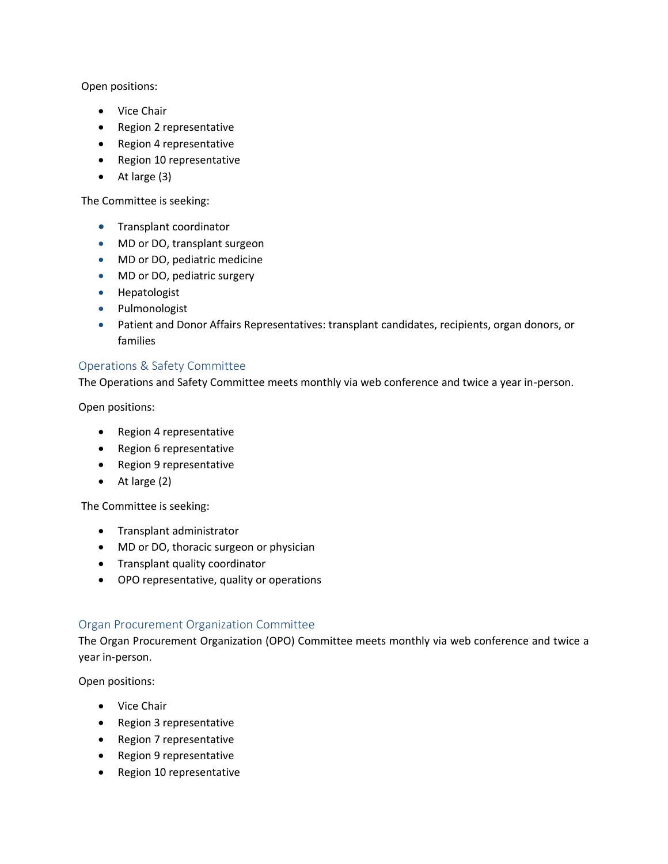Open positions:

- Vice Chair
- Region 2 representative
- Region 4 representative
- Region 10 representative
- At large (3)

The Committee is seeking:

- Transplant coordinator
- MD or DO, transplant surgeon
- MD or DO, pediatric medicine
- MD or DO, pediatric surgery
- Hepatologist
- Pulmonologist
- Patient and Donor Affairs Representatives: transplant candidates, recipients, organ donors, or families

### Operations & Safety Committee

The Operations and Safety Committee meets monthly via web conference and twice a year in-person.

Open positions:

- Region 4 representative
- Region 6 representative
- Region 9 representative
- At large (2)

The Committee is seeking:

- Transplant administrator
- MD or DO, thoracic surgeon or physician
- Transplant quality coordinator
- OPO representative, quality or operations

#### Organ Procurement Organization Committee

The Organ Procurement Organization (OPO) Committee meets monthly via web conference and twice a year in-person.

- Vice Chair
- Region 3 representative
- Region 7 representative
- Region 9 representative
- Region 10 representative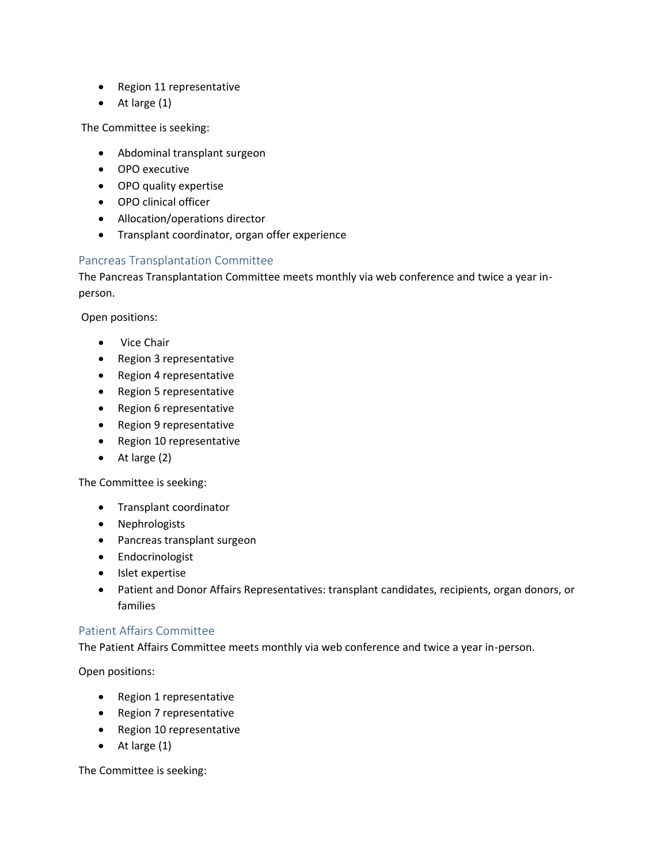- Region 11 representative
- At large (1)

- Abdominal transplant surgeon
- OPO executive
- OPO quality expertise
- OPO clinical officer
- Allocation/operations director
- Transplant coordinator, organ offer experience

## Pancreas Transplantation Committee

The Pancreas Transplantation Committee meets monthly via web conference and twice a year inperson.

Open positions:

- Vice Chair
- Region 3 representative
- Region 4 representative
- Region 5 representative
- Region 6 representative
- Region 9 representative
- Region 10 representative
- At large (2)

The Committee is seeking:

- Transplant coordinator
- Nephrologists
- Pancreas transplant surgeon
- Endocrinologist
- Islet expertise
- Patient and Donor Affairs Representatives: transplant candidates, recipients, organ donors, or families

#### Patient Affairs Committee

The Patient Affairs Committee meets monthly via web conference and twice a year in-person.

Open positions:

- Region 1 representative
- Region 7 representative
- Region 10 representative
- At large (1)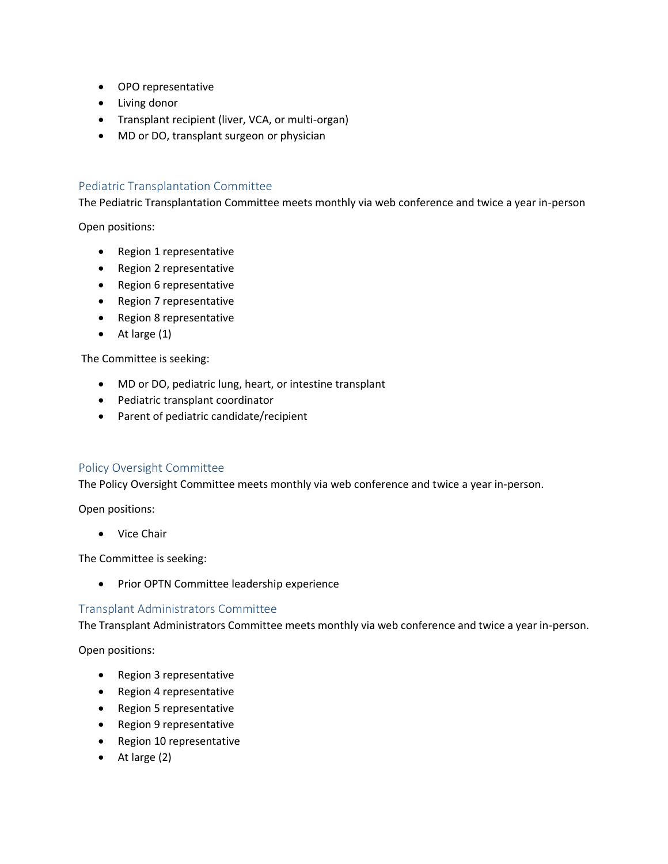- OPO representative
- Living donor
- Transplant recipient (liver, VCA, or multi-organ)
- MD or DO, transplant surgeon or physician

### Pediatric Transplantation Committee

The Pediatric Transplantation Committee meets monthly via web conference and twice a year in-person

Open positions:

- Region 1 representative
- Region 2 representative
- Region 6 representative
- Region 7 representative
- Region 8 representative
- At large (1)

The Committee is seeking:

- MD or DO, pediatric lung, heart, or intestine transplant
- Pediatric transplant coordinator
- Parent of pediatric candidate/recipient

#### Policy Oversight Committee

The Policy Oversight Committee meets monthly via web conference and twice a year in-person.

Open positions:

• Vice Chair

The Committee is seeking:

• Prior OPTN Committee leadership experience

#### Transplant Administrators Committee

The Transplant Administrators Committee meets monthly via web conference and twice a year in-person.

- Region 3 representative
- Region 4 representative
- Region 5 representative
- Region 9 representative
- Region 10 representative
- At large (2)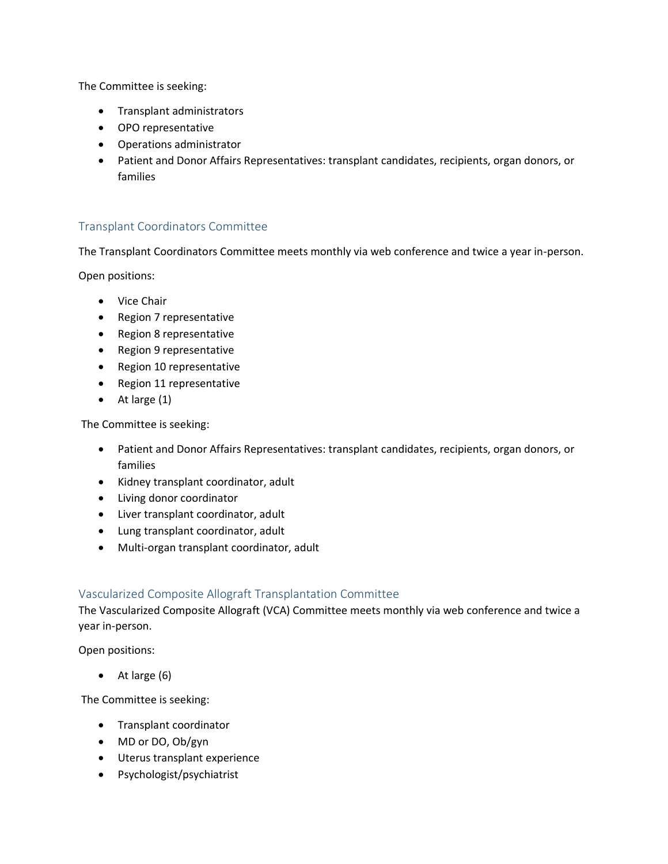- Transplant administrators
- OPO representative
- Operations administrator
- Patient and Donor Affairs Representatives: transplant candidates, recipients, organ donors, or families

### Transplant Coordinators Committee

The Transplant Coordinators Committee meets monthly via web conference and twice a year in-person.

Open positions:

- Vice Chair
- Region 7 representative
- Region 8 representative
- Region 9 representative
- Region 10 representative
- Region 11 representative
- At large (1)

The Committee is seeking:

- Patient and Donor Affairs Representatives: transplant candidates, recipients, organ donors, or families
- Kidney transplant coordinator, adult
- Living donor coordinator
- Liver transplant coordinator, adult
- Lung transplant coordinator, adult
- Multi-organ transplant coordinator, adult

#### Vascularized Composite Allograft Transplantation Committee

The Vascularized Composite Allograft (VCA) Committee meets monthly via web conference and twice a year in-person.

Open positions:

• At large (6)

- Transplant coordinator
- MD or DO, Ob/gyn
- Uterus transplant experience
- Psychologist/psychiatrist